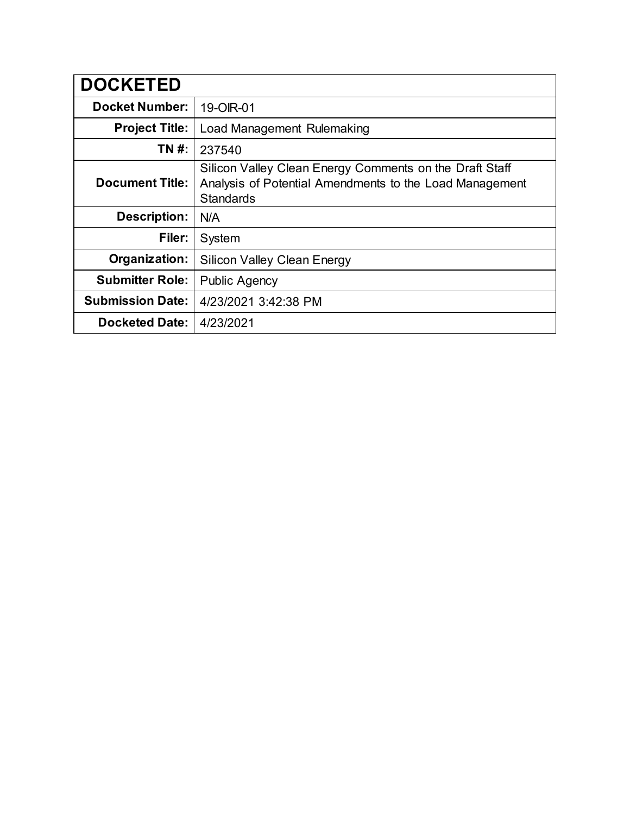| <b>DOCKETED</b>         |                                                                                                                                        |
|-------------------------|----------------------------------------------------------------------------------------------------------------------------------------|
| <b>Docket Number:</b>   | 19-OIR-01                                                                                                                              |
| <b>Project Title:</b>   | Load Management Rulemaking                                                                                                             |
| TN #:                   | 237540                                                                                                                                 |
| <b>Document Title:</b>  | Silicon Valley Clean Energy Comments on the Draft Staff<br>Analysis of Potential Amendments to the Load Management<br><b>Standards</b> |
| <b>Description:</b>     | N/A                                                                                                                                    |
| Filer:                  | System                                                                                                                                 |
| Organization:           | <b>Silicon Valley Clean Energy</b>                                                                                                     |
| <b>Submitter Role:</b>  | <b>Public Agency</b>                                                                                                                   |
| <b>Submission Date:</b> | 4/23/2021 3:42:38 PM                                                                                                                   |
| <b>Docketed Date:</b>   | 4/23/2021                                                                                                                              |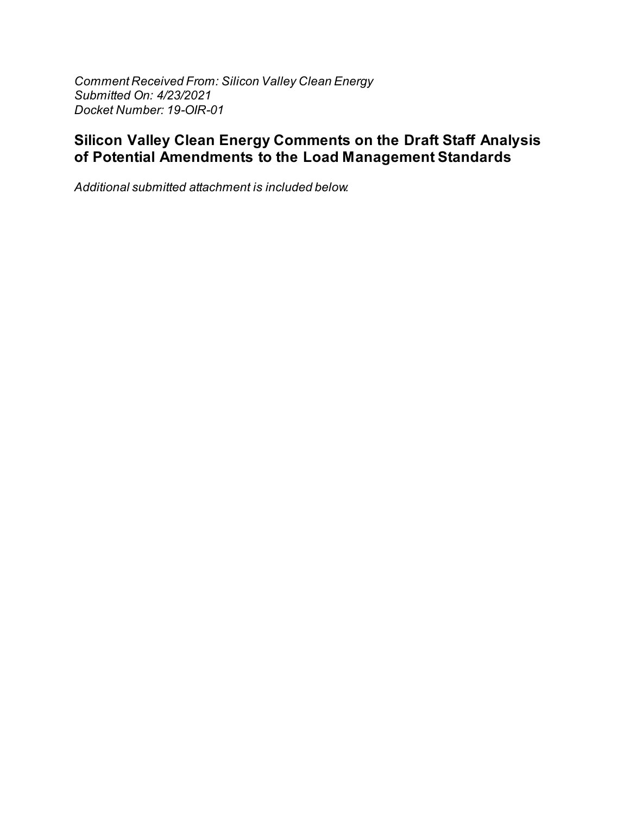Comment Received From: Silicon Valley Clean Energy Submitted On: 4/23/2021 Docket Number: 19-OIR-01

## Silicon Valley Clean Energy Comments on the Draft Staff Analysis of Potential Amendments to the Load Management Standards

Additional submitted attachment is included below.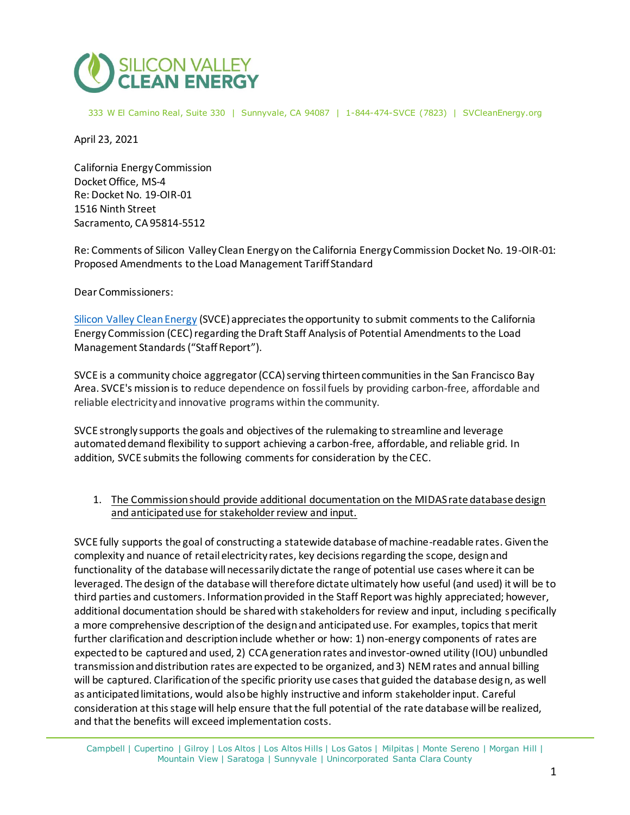

333 W El Camino Real, Suite 330 | Sunnyvale, CA 94087 | 1-844-474-SVCE (7823) | SVCleanEnergy.org

April 23, 2021

California Energy Commission Docket Office, MS-4 Re: Docket No. 19-OIR-01 1516 Ninth Street Sacramento, CA 95814-5512

Re: Comments of Silicon Valley Clean Energy on the California Energy Commission Docket No. 19-OIR-01: Proposed Amendments to the Load Management Tariff Standard

Dear Commissioners:

[Silicon Valley Clean Energy](http://www.svcleanenergy.org/) (SVCE) appreciates the opportunity to submit comments to the California Energy Commission (CEC) regarding the Draft Staff Analysis of Potential Amendments to the Load Management Standards ("Staff Report").

SVCE is a community choice aggregator(CCA) serving thirteen communities in the San Francisco Bay Area. SVCE's mission is to reduce dependence on fossil fuels by providing carbon-free, affordable and reliable electricity and innovative programs within the community.

SVCE strongly supports the goals and objectives of the rulemaking to streamline and leverage automated demand flexibility to support achieving a carbon-free, affordable, and reliable grid. In addition, SVCE submits the following comments for consideration by the CEC.

## 1. The Commission should provide additional documentation on the MIDAS rate database design and anticipated use for stakeholder review and input.

SVCE fully supports the goal of constructing a statewide database of machine-readable rates. Given the complexity and nuance of retail electricity rates, key decisions regarding the scope, design and functionality of the database will necessarily dictate the range of potential use cases where it can be leveraged. The design of the database will therefore dictate ultimately how useful (and used) it will be to third parties and customers. Information provided in the Staff Report was highly appreciated; however, additional documentation should be shared with stakeholders for review and input, including specifically a more comprehensive description of the design and anticipated use. For examples, topics that merit further clarification and description include whether or how: 1) non-energy components of rates are expected to be captured and used, 2) CCA generation rates and investor-owned utility (IOU) unbundled transmission and distribution rates are expected to be organized, and 3) NEM rates and annual billing will be captured. Clarification of the specific priority use cases that guided the database design, as well as anticipated limitations, would also be highly instructive and inform stakeholder input. Careful consideration at this stage will help ensure that the full potential of the rate database will be realized, and that the benefits will exceed implementation costs.

Campbell | Cupertino | Gilroy | Los Altos | Los Altos Hills | Los Gatos | Milpitas | Monte Sereno | Morgan Hill | Mountain View | Saratoga | Sunnyvale | Unincorporated Santa Clara County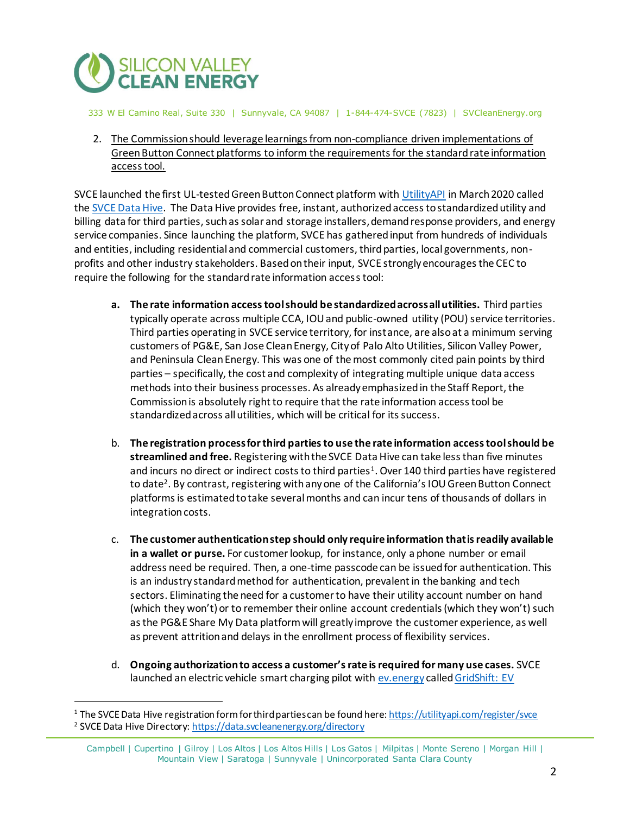

333 W El Camino Real, Suite 330 | Sunnyvale, CA 94087 | 1-844-474-SVCE (7823) | SVCleanEnergy.org

2. The Commission should leverage learnings from non-compliance driven implementations of Green Button Connect platforms to inform the requirements for the standard rate information access tool.

SVCE launched the first UL-tested Green Button Connect platform wit[h UtilityAPI](http://utility.energy/) in March 2020 called th[e SVCE Data Hive.](http://data.svcleanenergy.org/) The Data Hive provides free, instant, authorized access to standardized utility and billing data for third parties, such as solar and storage installers, demand response providers, and energy service companies. Since launching the platform, SVCE has gathered input from hundreds of individuals and entities, including residential and commercial customers, third parties, local governments, nonprofits and other industry stakeholders. Based on their input, SVCE strongly encourages the CEC to require the following for the standard rate information access tool:

- **a. The rate information access tool should be standardized across all utilities.** Third parties typically operate across multiple CCA, IOU and public-owned utility (POU) service territories. Third parties operating in SVCE service territory, for instance, are also at a minimum serving customers of PG&E, San Jose Clean Energy, City of Palo Alto Utilities, Silicon Valley Power, and Peninsula Clean Energy. This was one of the most commonly cited pain points by third parties – specifically, the cost and complexity of integrating multiple unique data access methods into their business processes. As already emphasized in the Staff Report, the Commission is absolutely right to require that the rate information access tool be standardized across all utilities, which will be critical for its success.
- b. **The registration process for third parties to use the rate information access tool should be streamlined and free.** Registering with the SVCE Data Hive can take less than five minutes and incurs no direct or indirect costs to third parties<sup>1</sup>. Over 140 third parties have registered to date<sup>2</sup>. By contrast, registering with any one of the California's IOU Green Button Connect platforms is estimated to take several months and can incur tens of thousands of dollars in integration costs.
- c. **The customer authentication step should only require information that is readily available in a wallet or purse.** For customer lookup, for instance, only a phone number or email address need be required. Then, a one-time passcode can be issued for authentication. This is an industry standard method for authentication, prevalent in the banking and tech sectors. Eliminating the need for a customer to have their utility account number on hand (which they won't) or to remember their online account credentials (which they won't) such as the PG&E Share My Data platform will greatly improve the customer experience, as well as prevent attrition and delays in the enrollment process of flexibility services.
- d. **Ongoing authorization to access a customer's rate is required for many use cases.** SVCE launched an electric vehicle smart charging pilot wit[h ev.energy](https://ev.energy/) called GridShift: EV

<sup>1</sup> The SVCE Data Hive registration form for third parties can be found here[: https://utilityapi.com/register/svce](https://utilityapi.com/register/svce) <sup>2</sup> SVCE Data Hive Director[y: https://data.svcleanenergy.org/directory](https://data.svcleanenergy.org/directory)

Campbell | Cupertino | Gilroy | Los Altos | Los Altos Hills | Los Gatos | Milpitas | Monte Sereno | Morgan Hill | Mountain View | Saratoga | Sunnyvale | Unincorporated Santa Clara County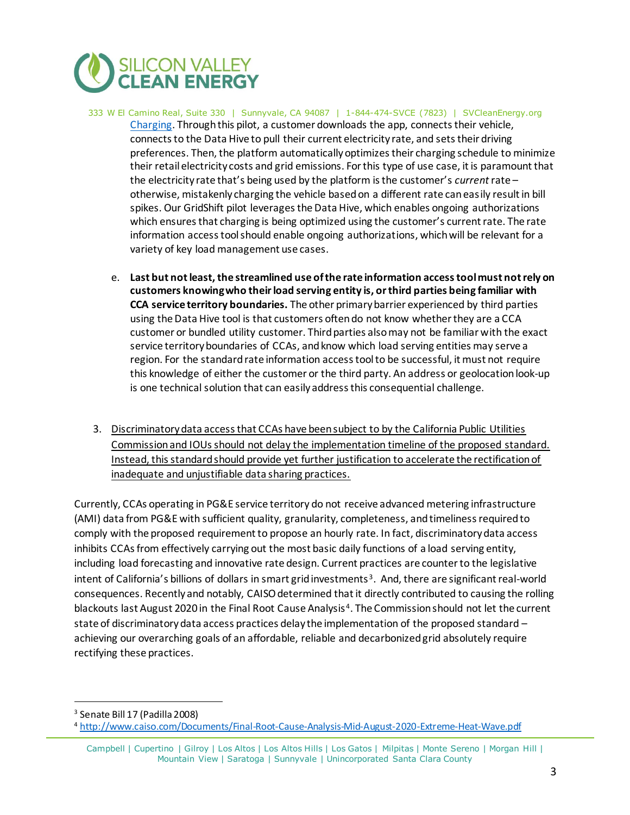

- 333 W El Camino Real, Suite 330 | Sunnyvale, CA 94087 | 1-844-474-SVCE (7823) | SVCleanEnergy.org [Charging.](https://www.svcleanenergy.org/gridshift-ev/) Through this pilot, a customer downloads the app, connects their vehicle, connects to the Data Hive to pull their current electricity rate, and sets their driving preferences. Then, the platform automatically optimizes their charging schedule to minimize their retail electricity costs and grid emissions. For this type of use case, it is paramount that the electricity rate that's being used by the platform is the customer's *current* rate – otherwise, mistakenly charging the vehicle based on a different rate can easily result in bill spikes. Our GridShift pilot leverages the Data Hive, which enables ongoing authorizations which ensures that charging is being optimized using the customer's current rate. The rate information access tool should enable ongoing authorizations, which will be relevant for a variety of key load management use cases.
	- e. **Last but not least, the streamlined use of the rate information access tool must not rely on customers knowing who their load serving entity is, or third parties being familiar with CCA service territory boundaries.** The other primary barrier experienced by third parties using the Data Hive tool is that customers often do not know whether they are a CCA customer or bundled utility customer. Third parties also may not be familiar with the exact service territory boundaries of CCAs, and know which load serving entities may serve a region. For the standard rate information access tool to be successful, it must not require this knowledge of either the customer or the third party. An address or geolocation look-up is one technical solution that can easily address this consequential challenge.
- 3. Discriminatory data access that CCAs have been subject to by the California Public Utilities Commission and IOUs should not delay the implementation timeline of the proposed standard. Instead, this standard should provide yet further justification to accelerate the rectification of inadequate and unjustifiable data sharing practices.

Currently, CCAs operating in PG&E service territory do not receive advanced metering infrastructure (AMI) data from PG&E with sufficient quality, granularity, completeness, and timeliness required to comply with the proposed requirement to propose an hourly rate. In fact, discriminatory data access inhibits CCAs from effectively carrying out the most basic daily functions of a load serving entity, including load forecasting and innovative rate design. Current practices are counter to the legislative intent of California's billions of dollars in smart grid investments<sup>3</sup>. And, there are significant real-world consequences. Recently and notably, CAISO determined that it directly contributed to causing the rolling blackouts last August 2020 in the Final Root Cause Analysis<sup>4</sup>. The Commission should not let the current state of discriminatory data access practices delay the implementation of the proposed standard – achieving our overarching goals of an affordable, reliable and decarbonized grid absolutely require rectifying these practices.

<sup>3</sup> Senate Bill 17 (Padilla 2008)

<sup>4</sup> <http://www.caiso.com/Documents/Final-Root-Cause-Analysis-Mid-August-2020-Extreme-Heat-Wave.pdf>

Campbell | Cupertino | Gilroy | Los Altos | Los Altos Hills | Los Gatos | Milpitas | Monte Sereno | Morgan Hill | Mountain View | Saratoga | Sunnyvale | Unincorporated Santa Clara County